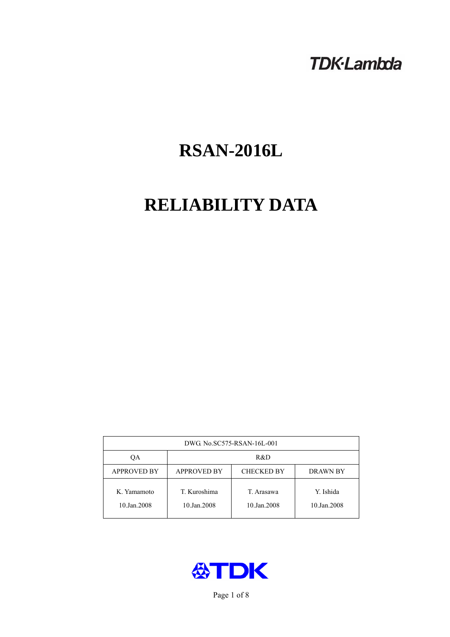# **TDK-Lambda**

# **RSAN-2016L**

# **RELIABILITY DATA**

| DWG. No.SC575-RSAN-16L-001 |                                                     |                           |                          |  |  |
|----------------------------|-----------------------------------------------------|---------------------------|--------------------------|--|--|
| OА                         | R&D                                                 |                           |                          |  |  |
| <b>APPROVED BY</b>         | <b>APPROVED BY</b><br><b>CHECKED BY</b><br>DRAWN BY |                           |                          |  |  |
| K. Yamamoto<br>10.Jan.2008 | T. Kuroshima<br>10.Jan.2008                         | T. Arasawa<br>10.Jan.2008 | Y. Ishida<br>10.Jan.2008 |  |  |



Page 1 of 8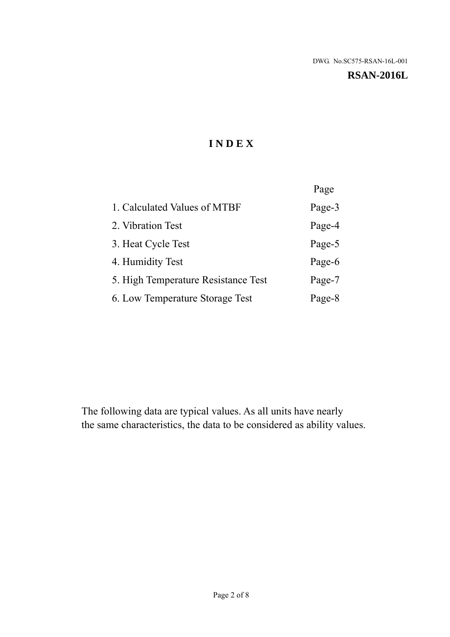#### **RSAN-2016L**

# **I N D E X**

|                                     | Page   |
|-------------------------------------|--------|
| 1. Calculated Values of MTBF        | Page-3 |
| 2. Vibration Test                   | Page-4 |
| 3. Heat Cycle Test                  | Page-5 |
| 4. Humidity Test                    | Page-6 |
| 5. High Temperature Resistance Test | Page-7 |
| 6. Low Temperature Storage Test     | Page-8 |

The following data are typical values. As all units have nearly the same characteristics, the data to be considered as ability values.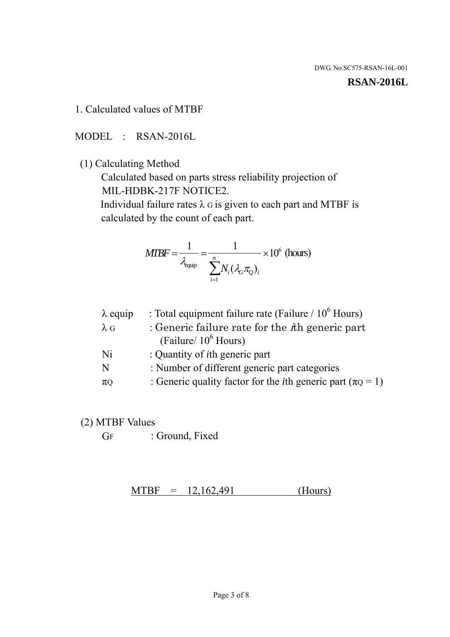#### **RSAN-2016L**

1. Calculated values of MTBF

MODEL : RSAN-2016L

(1) Calculating Method

 Calculated based on parts stress reliability projection of MIL-HDBK-217F NOTICE2.

Individual failure rates  $\lambda$  G is given to each part and MTBF is calculated by the count of each part.

$$
MIBF = \frac{1}{\lambda_{\text{equip}}} = \frac{1}{\sum_{i=1}^{n} N_i (\lambda_G \pi_Q)_i} \times 10^6 \text{ (hours)}
$$

| $\lambda$ equip | : Total equipment failure rate (Failure $/ 10^6$ Hours)                   |
|-----------------|---------------------------------------------------------------------------|
| $\lambda$ G     | : Generic failure rate for the $\hbar$ generic part                       |
|                 | (Failure/ $10^6$ Hours)                                                   |
| Ni              | : Quantity of <i>i</i> th generic part                                    |
| N               | : Number of different generic part categories                             |
| $\pi$ Q         | : Generic quality factor for the <i>i</i> th generic part ( $\pi Q = 1$ ) |

- (2) MTBF Values
	- GF : Ground, Fixed

 $MTBF = 12,162,491$  (Hours)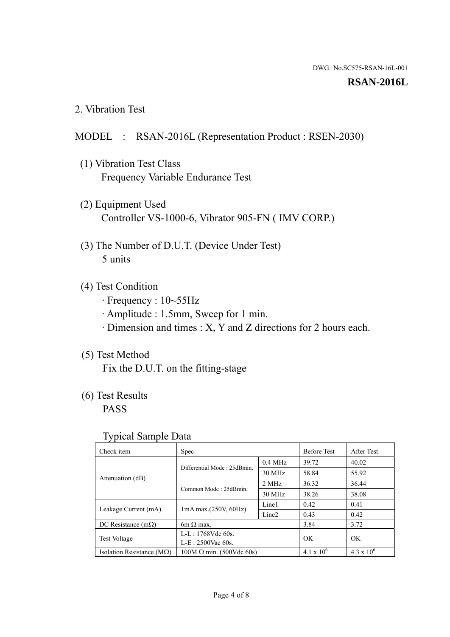#### **RSAN-2016L**

2. Vibration Test

### MODEL : RSAN-2016L (Representation Product : RSEN-2030)

- (1) Vibration Test Class Frequency Variable Endurance Test
- (2) Equipment Used Controller VS-1000-6, Vibrator 905-FN ( IMV CORP.)
- (3) The Number of D.U.T. (Device Under Test) 5 units
- (4) Test Condition
	- · Frequency : 10~55Hz
	- · Amplitude : 1.5mm, Sweep for 1 min.
	- · Dimension and times : X, Y and Z directions for 2 hours each.

# (5) Test Method

Fix the D.U.T. on the fitting-stage

# (6) Test Results

PASS

#### Typical Sample Data

| ັ່                                 |                                                         |           |                     |                     |
|------------------------------------|---------------------------------------------------------|-----------|---------------------|---------------------|
| Check item                         | Spec.                                                   |           | <b>Before Test</b>  | After Test          |
|                                    | Differential Mode: 25dBmin.                             | $0.4$ MHz | 39.72               | 40.02               |
|                                    |                                                         | 30 MHz    | 58.84               | 55.92               |
| Attenuation (dB)                   | Common Mode: 25dBmin.                                   | 2 MHz     | 36.32               | 36.44               |
|                                    |                                                         | 30 MHz    | 38.26               | 38.08               |
| Leakage Current (mA)               | Line1<br>$1mA$ max. $(250V, 60Hz)$<br>Line <sub>2</sub> |           | 0.42                | 0.41                |
|                                    |                                                         |           | 0.43                | 0.42                |
| DC Resistance $(m\Omega)$          | 6m $\Omega$ max.                                        |           | 3.84                | 3.72                |
| <b>Test Voltage</b>                | $L-L: 1768Vdc$ 60s.                                     |           | OK                  | OK.                 |
|                                    | $L-E: 2500$ Vac 60s.                                    |           |                     |                     |
| Isolation Resistance ( $M\Omega$ ) | $100M \Omega$ min. (500Vdc 60s)                         |           | $4.1 \times 10^{6}$ | $4.3 \times 10^{6}$ |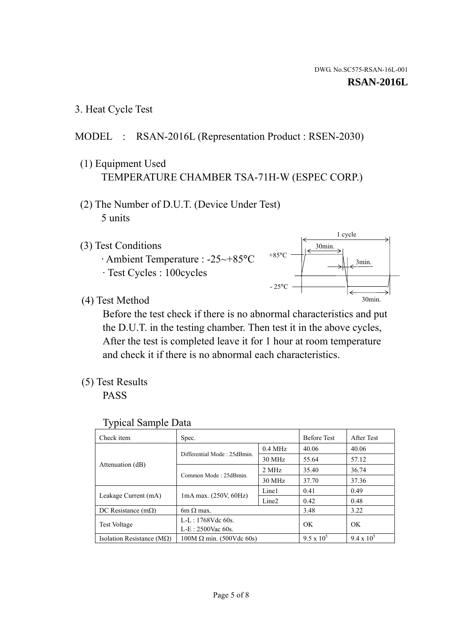3. Heat Cycle Test

# MODEL : RSAN-2016L (Representation Product : RSEN-2030)

- (1) Equipment Used TEMPERATURE CHAMBER TSA-71H-W (ESPEC CORP.)
- (2) The Number of D.U.T. (Device Under Test) 5 units
- (3) Test Conditions
	- · Ambient Temperature : -25~+85°C · Test Cycles : 100cycles



(4) Test Method

 Before the test check if there is no abnormal characteristics and put the D.U.T. in the testing chamber. Then test it in the above cycles, After the test is completed leave it for 1 hour at room temperature and check it if there is no abnormal each characteristics.

(5) Test Results

PASS

| <b>Typical Sample Data</b> |  |  |
|----------------------------|--|--|
|----------------------------|--|--|

| Check item                    | Spec.                                                                           |                     | <b>Before Test</b> | After Test        |
|-------------------------------|---------------------------------------------------------------------------------|---------------------|--------------------|-------------------|
|                               | Differential Mode: 25dBmin.                                                     | $0.4\ \mathrm{MHz}$ | 40.06              | 40.06             |
|                               |                                                                                 | 30 MHz              | 55.64              | 57.12             |
| Attenuation (dB)              | Common Mode: 25dBmin.                                                           | 2 MHz               | 35.40              | 36.74             |
|                               |                                                                                 | 30 MHz              | 37.70              | 37.36             |
|                               | Line1<br>$1mA$ max. $(250V, 60Hz)$<br>Leakage Current (mA)<br>Line <sub>2</sub> |                     | 0.41               | 0.49              |
|                               |                                                                                 |                     | 0.42               | 0.48              |
| DC Resistance $(m\Omega)$     | $6m \Omega$ max.                                                                |                     | 3.48               | 3.22              |
|                               | L-L: 1768Vdc 60s.                                                               |                     | OK                 | OK                |
|                               | <b>Test Voltage</b><br>$L-E: 2500$ Vac 60s.                                     |                     |                    |                   |
| Isolation Resistance ( $MQ$ ) | $100M \Omega$ min. (500Vdc 60s)                                                 |                     | $9.5 \times 10^5$  | $9.4 \times 10^5$ |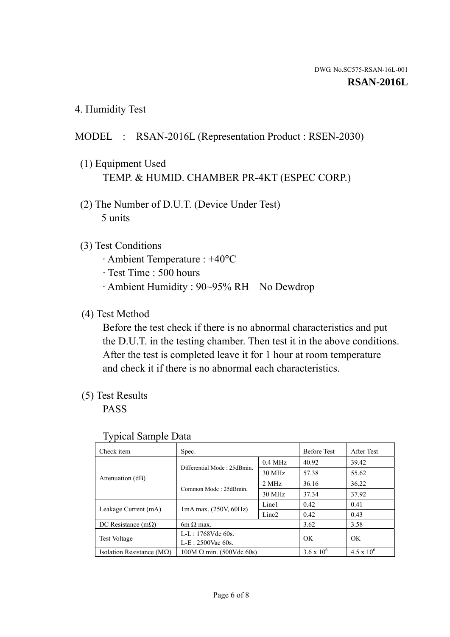4. Humidity Test

# MODEL : RSAN-2016L (Representation Product : RSEN-2030)

- (1) Equipment Used TEMP. & HUMID. CHAMBER PR-4KT (ESPEC CORP.)
- (2) The Number of D.U.T. (Device Under Test) 5 units

# (3) Test Conditions

- · Ambient Temperature : +40°C
- · Test Time : 500 hours
- · Ambient Humidity : 90~95% RH No Dewdrop

# (4) Test Method

 Before the test check if there is no abnormal characteristics and put the D.U.T. in the testing chamber. Then test it in the above conditions. After the test is completed leave it for 1 hour at room temperature and check it if there is no abnormal each characteristics.

# (5) Test Results

PASS

| ┙┸                                 |                                 |                   |                     |                     |
|------------------------------------|---------------------------------|-------------------|---------------------|---------------------|
| Check item                         | Spec.                           |                   | <b>Before Test</b>  | After Test          |
| Attenuation (dB)                   | Differential Mode: 25dBmin.     | $0.4$ MHz         | 40.92               | 39.42               |
|                                    |                                 | 30 MHz            | 57.38               | 55.62               |
|                                    | Common Mode: 25dBmin.           | 2 MHz             | 36.16               | 36.22               |
|                                    |                                 | 30 MHz            | 37.34               | 37.92               |
| Leakage Current (mA)               | $1mA$ max. $(250V, 60Hz)$       | Line1             | 0.42                | 0.41                |
|                                    |                                 | Line <sub>2</sub> | 0.42                | 0.43                |
| DC Resistance $(m\Omega)$          | $6m \Omega$ max.                |                   | 3.62                | 3.58                |
| <b>Test Voltage</b>                | $L-L: 1768Vdc$ 60s.             |                   | OK                  | OK                  |
|                                    | $L-E: 2500$ Vac 60s.            |                   |                     |                     |
| Isolation Resistance ( $M\Omega$ ) | $100M \Omega$ min. (500Vdc 60s) |                   | $3.6 \times 10^{6}$ | $4.5 \times 10^{6}$ |

#### Typical Sample Data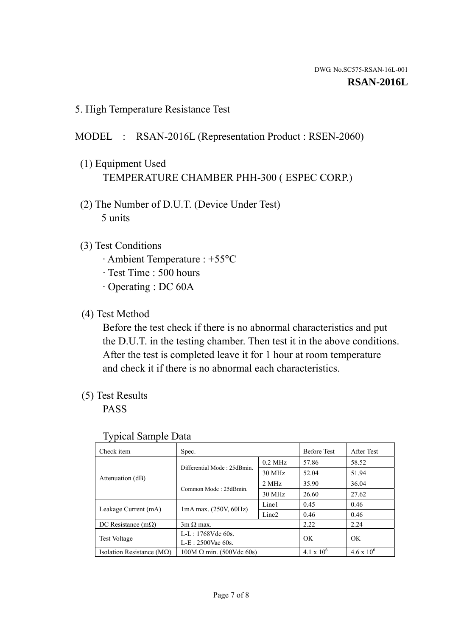5. High Temperature Resistance Test

### MODEL : RSAN-2016L (Representation Product : RSEN-2060)

- (1) Equipment Used TEMPERATURE CHAMBER PHH-300 ( ESPEC CORP.)
- (2) The Number of D.U.T. (Device Under Test) 5 units
- (3) Test Conditions
	- · Ambient Temperature : +55°C
	- · Test Time : 500 hours
	- · Operating : DC 60A
- (4) Test Method

 Before the test check if there is no abnormal characteristics and put the D.U.T. in the testing chamber. Then test it in the above conditions. After the test is completed leave it for 1 hour at room temperature and check it if there is no abnormal each characteristics.

(5) Test Results

PASS

| ╯┸                                 |                                                         |           |                     |                     |
|------------------------------------|---------------------------------------------------------|-----------|---------------------|---------------------|
| Check item                         | Spec.                                                   |           | <b>Before Test</b>  | After Test          |
|                                    | Differential Mode: 25dBmin.                             | $0.2$ MHz | 57.86               | 58.52               |
|                                    |                                                         | 30 MHz    | 52.04               | 51.94               |
| Attenuation (dB)                   | Common Mode: 25dBmin.                                   | 2 MHz     | 35.90               | 36.04               |
|                                    |                                                         | 30 MHz    | 26.60               | 27.62               |
| Leakage Current (mA)               | Line1<br>$1mA$ max. $(250V, 60Hz)$<br>Line <sub>2</sub> |           | 0.45                | 0.46                |
|                                    |                                                         |           | 0.46                | 0.46                |
| DC Resistance $(m\Omega)$          | $3m \Omega$ max.                                        |           | 2.22                | 2.24                |
| <b>Test Voltage</b>                | $L-L: 1768Vdc$ 60s.                                     |           | OK                  | OK                  |
|                                    | $L-E: 2500$ Vac 60s.                                    |           |                     |                     |
| Isolation Resistance ( $M\Omega$ ) | $100M \Omega$ min. (500Vdc 60s)                         |           | $4.1 \times 10^{6}$ | $4.6 \times 10^{6}$ |

#### Typical Sample Data